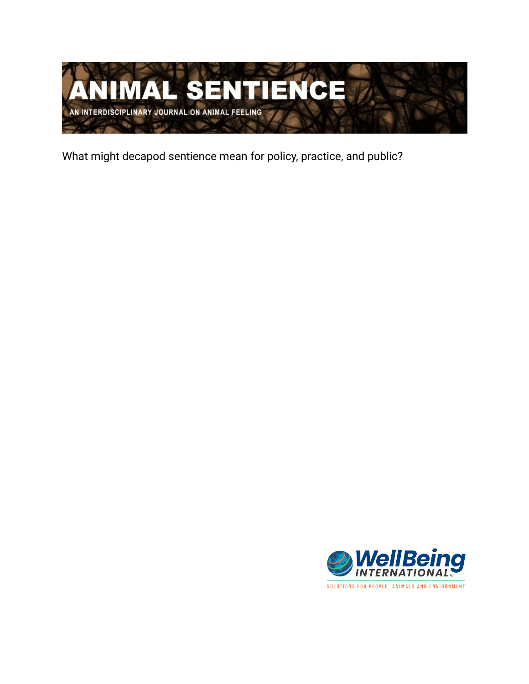

What might decapod sentience mean for policy, practice, and public?

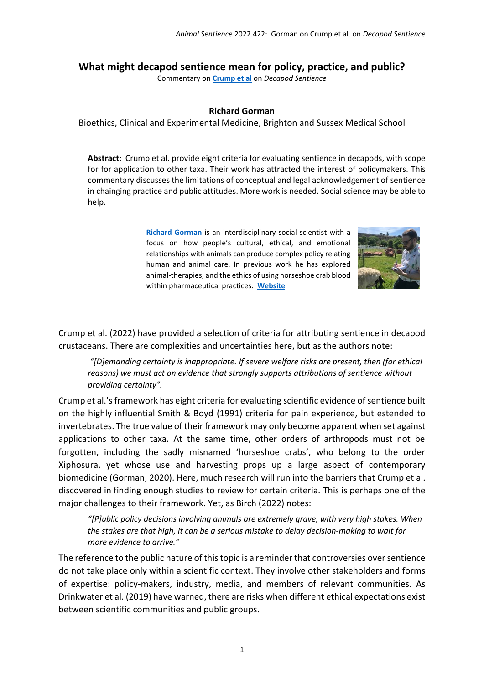## **What might decapod sentience mean for policy, practice, and public?**

Commentary on **[Crump et al](https://www.wellbeingintlstudiesrepository.org/animsent/vol7/iss32/1)** on *Decapod Sentience*

## **Richard Gorman**

Bioethics, Clinical and Experimental Medicine, Brighton and Sussex Medical School

**Abstract**: Crump et al. provide eight criteria for evaluating sentience in decapods, with scope for for application to other taxa. Their work has attracted the interest of policymakers. This commentary discusses the limitations of conceptual and legal acknowledgement of sentience in chainging practice and public attitudes. More work is needed. Social science may be able to help.

> **[Richard Gorman](/Users/harnad/Desktop/1ASENTIENCE/1ARTICLES-EDIT/1CURRENT/2CRUMP_BIRCH/CrumpComms/R.Gorman@bsms.ac.uk)** is an interdisciplinary social scientist with a focus on how people's cultural, ethical, and emotional relationships with animals can produce complex policy relating human and animal care. In previous work he has explored animal-therapies, and the ethics of using horseshoe crab blood within pharmaceutical practices. **[Website](https://profiles.sussex.ac.uk/p516055-richard-gorman)**



Crump et al. (2022) have provided a selection of criteria for attributing sentience in decapod crustaceans. There are complexities and uncertainties here, but as the authors note:

*"[D]emanding certainty is inappropriate. If severe welfare risks are present, then (for ethical reasons) we must act on evidence that strongly supports attributions of sentience without providing certainty".* 

Crump et al.'s framework has eight criteria for evaluating scientific evidence of sentience built on the highly influential Smith & Boyd (1991) criteria for pain experience, but estended to invertebrates. The true value of their framework may only become apparent when set against applications to other taxa. At the same time, other orders of arthropods must not be forgotten, including the sadly misnamed 'horseshoe crabs', who belong to the order Xiphosura, yet whose use and harvesting props up a large aspect of contemporary biomedicine (Gorman, 2020). Here, much research will run into the barriers that Crump et al. discovered in finding enough studies to review for certain criteria. This is perhaps one of the major challenges to their framework. Yet, as Birch (2022) notes:

*"[P]ublic policy decisions involving animals are extremely grave, with very high stakes. When the stakes are that high, it can be a serious mistake to delay decision-making to wait for more evidence to arrive."*

The reference to the public nature of this topic is a reminder that controversies over sentience do not take place only within a scientific context. They involve other stakeholders and forms of expertise: policy-makers, industry, media, and members of relevant communities. As Drinkwater et al. (2019) have warned, there are risks when different ethical expectations exist between scientific communities and public groups.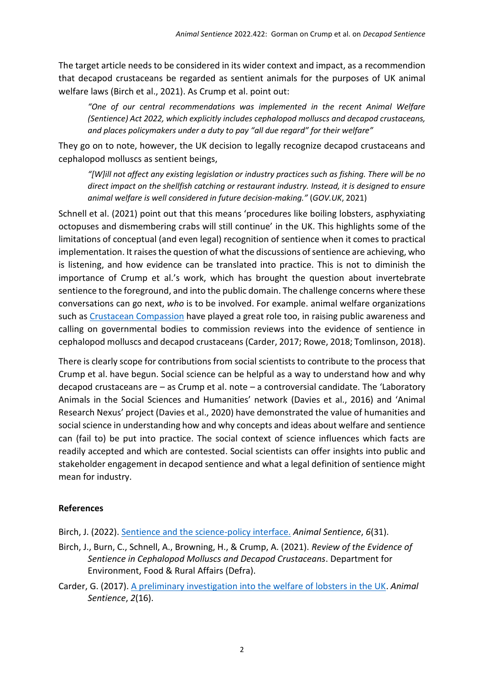The target article needs to be considered in its wider context and impact, as a recommendion that decapod crustaceans be regarded as sentient animals for the purposes of UK animal welfare laws (Birch et al., 2021). As Crump et al. point out:

*"One of our central recommendations was implemented in the recent Animal Welfare (Sentience) Act 2022, which explicitly includes cephalopod molluscs and decapod crustaceans, and places policymakers under a duty to pay "all due regard" for their welfare"*

They go on to note, however, the UK decision to legally recognize decapod crustaceans and cephalopod molluscs as sentient beings,

*"[W]ill not affect any existing legislation or industry practices such as fishing. There will be no direct impact on the shellfish catching or restaurant industry. Instead, it is designed to ensure animal welfare is well considered in future decision-making."* (*GOV.UK*, 2021)

Schnell et al. (2021) point out that this means 'procedures like boiling lobsters, asphyxiating octopuses and dismembering crabs will still continue' in the UK. This highlights some of the limitations of conceptual (and even legal) recognition of sentience when it comes to practical implementation. It raises the question of what the discussions of sentience are achieving, who is listening, and how evidence can be translated into practice. This is not to diminish the importance of Crump et al.'s work, which has brought the question about invertebrate sentience to the foreground, and into the public domain. The challenge concerns where these conversations can go next, *who* is to be involved. For example. animal welfare organizations such as [Crustacean Compassion](https://www.crustaceancompassion.org.uk/take-action) have played a great role too, in raising public awareness and calling on governmental bodies to commission reviews into the evidence of sentience in cephalopod molluscs and decapod crustaceans (Carder, 2017; Rowe, 2018; Tomlinson, 2018).

There is clearly scope for contributions from social scientists to contribute to the process that Crump et al. have begun. Social science can be helpful as a way to understand how and why decapod crustaceans are – as Crump et al. note – a controversial candidate. The 'Laboratory Animals in the Social Sciences and Humanities' network (Davies et al., 2016) and 'Animal Research Nexus' project (Davies et al., 2020) have demonstrated the value of humanities and social science in understanding how and why concepts and ideas about welfare and sentience can (fail to) be put into practice. The social context of science influences which facts are readily accepted and which are contested. Social scientists can offer insights into public and stakeholder engagement in decapod sentience and what a legal definition of sentience might mean for industry.

## **References**

Birch, J. (2022). [Sentience and the science-policy interface.](https://doi.org/10.51291/2377-7478.1718) *Animal Sentience*, *6*(31).

- Birch, J., Burn, C., Schnell, A., Browning, H., & Crump, A. (2021). *Review of the Evidence of Sentience in Cephalopod Molluscs and Decapod Crustaceans*. Department for Environment, Food & Rural Affairs (Defra).
- Carder, G. (2017). [A preliminary investigation into the welfare of lobsters in the UK.](https://doi.org/10.51291/2377-7478.1262) *Animal Sentience*, *2*(16).